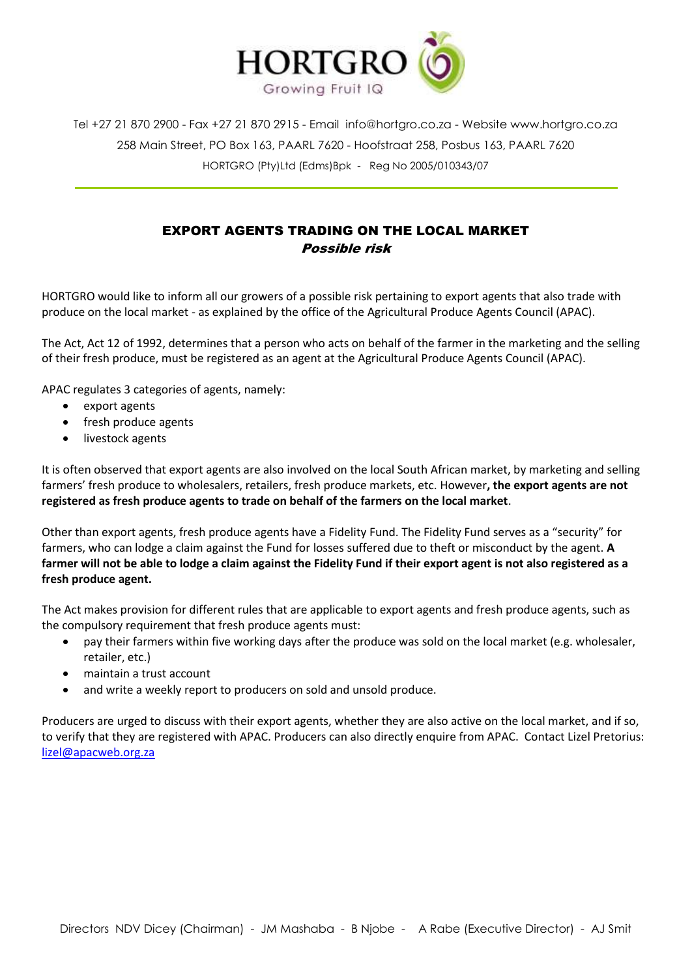

Tel +27 21 870 2900 - Fax +27 21 870 2915 - Email [info@hortgro.co.za](mailto:info@hortgro.co.za) - Website www.hortgro.co.za 258 Main Street, PO Box 163, PAARL 7620 - Hoofstraat 258, Posbus 163, PAARL 7620 HORTGRO (Pty)Ltd (Edms)Bpk - Reg No 2005/010343/07

## EXPORT AGENTS TRADING ON THE LOCAL MARKET Possible risk

HORTGRO would like to inform all our growers of a possible risk pertaining to export agents that also trade with produce on the local market - as explained by the office of the Agricultural Produce Agents Council (APAC).

The Act, Act 12 of 1992, determines that a person who acts on behalf of the farmer in the marketing and the selling of their fresh produce, must be registered as an agent at the Agricultural Produce Agents Council (APAC).

APAC regulates 3 categories of agents, namely:

- export agents
- fresh produce agents
- livestock agents

It is often observed that export agents are also involved on the local South African market, by marketing and selling farmers' fresh produce to wholesalers, retailers, fresh produce markets, etc. However**, the export agents are not registered as fresh produce agents to trade on behalf of the farmers on the local market**.

Other than export agents, fresh produce agents have a Fidelity Fund. The Fidelity Fund serves as a "security" for farmers, who can lodge a claim against the Fund for losses suffered due to theft or misconduct by the agent. **A farmer will not be able to lodge a claim against the Fidelity Fund if their export agent is not also registered as a fresh produce agent.**

The Act makes provision for different rules that are applicable to export agents and fresh produce agents, such as the compulsory requirement that fresh produce agents must:

- pay their farmers within five working days after the produce was sold on the local market (e.g. wholesaler, retailer, etc.)
- maintain a trust account
- and write a weekly report to producers on sold and unsold produce.

Producers are urged to discuss with their export agents, whether they are also active on the local market, and if so, to verify that they are registered with APAC. Producers can also directly enquire from APAC. Contact Lizel Pretorius: [lizel@apacweb.org.za](mailto:lizel@apacweb.org.za)